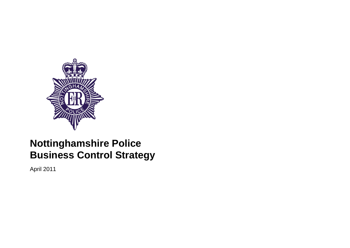

## **Nottinghamshire Police Business Control Strategy**

April 2011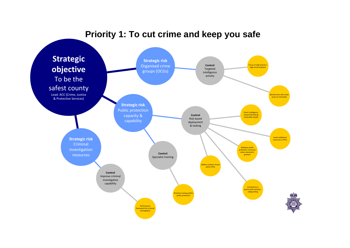## **Priority 1: To cut crime and keep you safe**

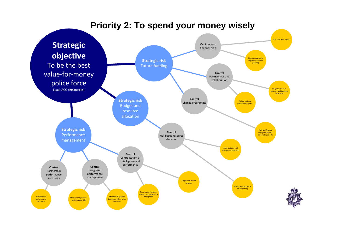